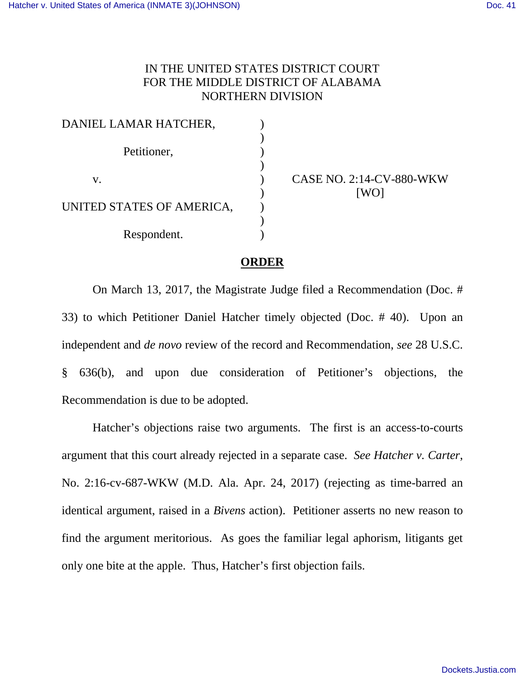## IN THE UNITED STATES DISTRICT COURT FOR THE MIDDLE DISTRICT OF ALABAMA NORTHERN DIVISION

| DANIEL LAMAR HATCHER,     |  |
|---------------------------|--|
|                           |  |
| Petitioner,               |  |
|                           |  |
| V.                        |  |
|                           |  |
| UNITED STATES OF AMERICA, |  |
|                           |  |
| Respondent.               |  |

CASE NO. 2:14-CV-880-WKW [WO]

## **ORDER**

On March 13, 2017, the Magistrate Judge filed a Recommendation (Doc. # 33) to which Petitioner Daniel Hatcher timely objected (Doc. # 40). Upon an independent and *de novo* review of the record and Recommendation, *see* 28 U.S.C. § 636(b), and upon due consideration of Petitioner's objections, the Recommendation is due to be adopted.

Hatcher's objections raise two arguments. The first is an access-to-courts argument that this court already rejected in a separate case. *See Hatcher v. Carter*, No. 2:16-cv-687-WKW (M.D. Ala. Apr. 24, 2017) (rejecting as time-barred an identical argument, raised in a *Bivens* action). Petitioner asserts no new reason to find the argument meritorious. As goes the familiar legal aphorism, litigants get only one bite at the apple. Thus, Hatcher's first objection fails.